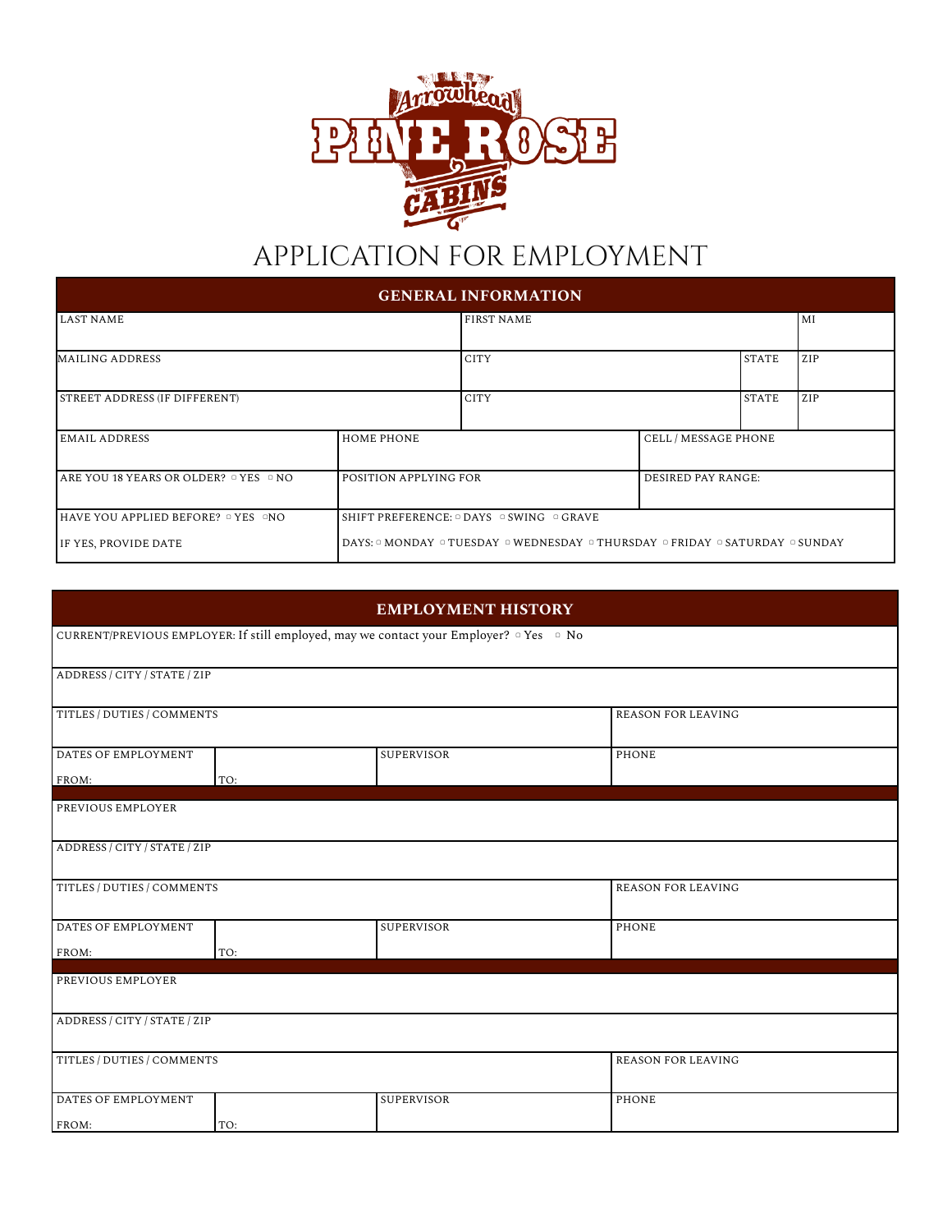

## APPLICATION FOR EMPLOYMENT

| <b>GENERAL INFORMATION</b>                            |                                                            |                                                                                                                        |                           |              |     |  |  |
|-------------------------------------------------------|------------------------------------------------------------|------------------------------------------------------------------------------------------------------------------------|---------------------------|--------------|-----|--|--|
| <b>LAST NAME</b>                                      |                                                            | <b>FIRST NAME</b>                                                                                                      |                           |              | MI  |  |  |
| <b>MAILING ADDRESS</b>                                |                                                            | <b>CITY</b>                                                                                                            |                           | <b>STATE</b> | ZIP |  |  |
| STREET ADDRESS (IF DIFFERENT)                         |                                                            | <b>CITY</b>                                                                                                            |                           | <b>STATE</b> | ZIP |  |  |
| <b>EMAIL ADDRESS</b>                                  | <b>HOME PHONE</b>                                          |                                                                                                                        | CELL / MESSAGE PHONE      |              |     |  |  |
| $I$ ARE YOU 18 YEARS OR OLDER? $\circ$ YES $\circ$ NO | POSITION APPLYING FOR                                      |                                                                                                                        | <b>DESIRED PAY RANGE:</b> |              |     |  |  |
| IHAVE YOU APPLIED BEFORE? □ YES □NO                   | SHIFT PREFERENCE: $\circ$ DAYS $\circ$ SWING $\circ$ GRAVE |                                                                                                                        |                           |              |     |  |  |
| IF YES, PROVIDE DATE                                  |                                                            | DAYS: $\circ$ MONDAY $\circ$ TUESDAY $\circ$ WEDNESDAY $\circ$ THURSDAY $\circ$ FRIDAY $\circ$ SATURDAY $\circ$ SUNDAY |                           |              |     |  |  |

|                              |     | <b>EMPLOYMENT HISTORY</b>                                                                                    |                           |
|------------------------------|-----|--------------------------------------------------------------------------------------------------------------|---------------------------|
|                              |     | CURRENT/PREVIOUS EMPLOYER: If still employed, may we contact your Employer? <sup>o</sup> Yes <sup>o</sup> No |                           |
| ADDRESS / CITY / STATE / ZIP |     |                                                                                                              |                           |
| TITLES / DUTIES / COMMENTS   |     |                                                                                                              | <b>REASON FOR LEAVING</b> |
| DATES OF EMPLOYMENT          |     | <b>SUPERVISOR</b>                                                                                            | <b>PHONE</b>              |
| FROM:                        | TO: |                                                                                                              |                           |
| PREVIOUS EMPLOYER            |     |                                                                                                              |                           |
| ADDRESS / CITY / STATE / ZIP |     |                                                                                                              |                           |
| TITLES / DUTIES / COMMENTS   |     |                                                                                                              | <b>REASON FOR LEAVING</b> |
| DATES OF EMPLOYMENT          |     | <b>SUPERVISOR</b>                                                                                            | <b>PHONE</b>              |
| FROM:                        | TO: |                                                                                                              |                           |
| PREVIOUS EMPLOYER            |     |                                                                                                              |                           |
| ADDRESS / CITY / STATE / ZIP |     |                                                                                                              |                           |
| TITLES / DUTIES / COMMENTS   |     |                                                                                                              | <b>REASON FOR LEAVING</b> |
| DATES OF EMPLOYMENT          |     | <b>SUPERVISOR</b>                                                                                            | PHONE                     |
| FROM:                        | TO: |                                                                                                              |                           |